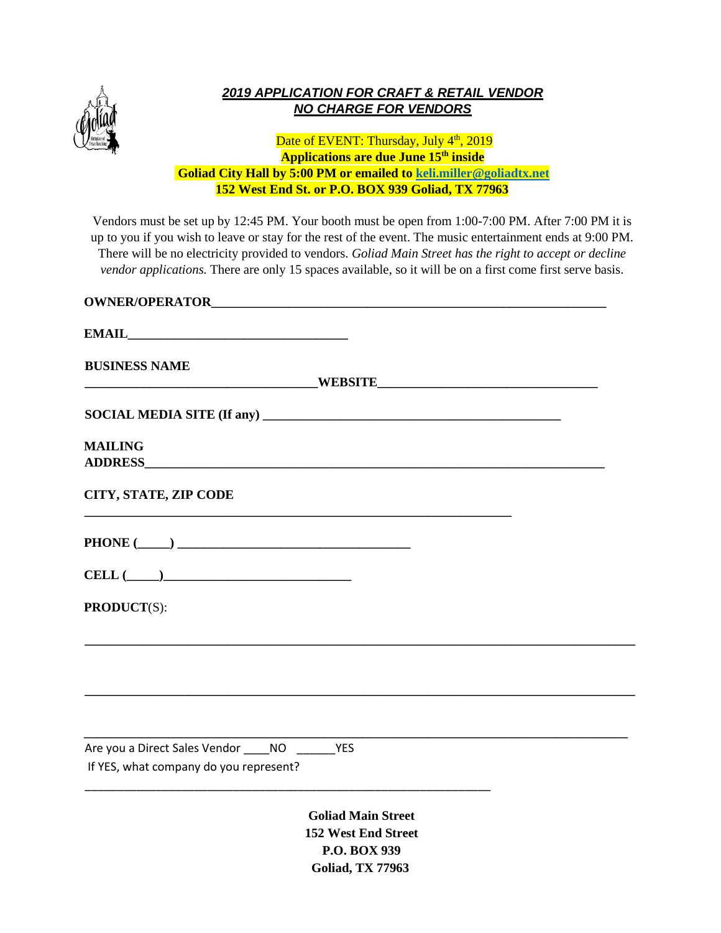

# *2019 APPLICATION FOR CRAFT & RETAIL VENDOR NO CHARGE FOR VENDORS*

### Date of EVENT: Thursday, July 4<sup>th</sup>, 2019 **Applications are due June 15th inside Goliad City Hall by 5:00 PM or emailed to [keli.miller@goliadtx.net](mailto:keli.miller@goliadtx.net) 152 West End St. or P.O. BOX 939 Goliad, TX 77963**

Vendors must be set up by 12:45 PM. Your booth must be open from 1:00-7:00 PM. After 7:00 PM it is up to you if you wish to leave or stay for the rest of the event. The music entertainment ends at 9:00 PM. There will be no electricity provided to vendors. *Goliad Main Street has the right to accept or decline vendor applications.* There are only 15 spaces available, so it will be on a first come first serve basis.

| <b>BUSINESS NAME</b>                                                                          |
|-----------------------------------------------------------------------------------------------|
|                                                                                               |
| <b>MAILING</b>                                                                                |
| CITY, STATE, ZIP CODE                                                                         |
|                                                                                               |
| $\textbf{CELL}\text{ }(\underline{\hspace{1cm}})$                                             |
| <b>PRODUCT(S):</b>                                                                            |
|                                                                                               |
|                                                                                               |
| Are you a Direct Sales Vendor _____ NO ________ YES<br>If YES, what company do you represent? |
| <b>Goliad Main Street</b><br>152 West End Street<br><b>P.O. BOX 939</b>                       |

**Goliad, TX 77963**